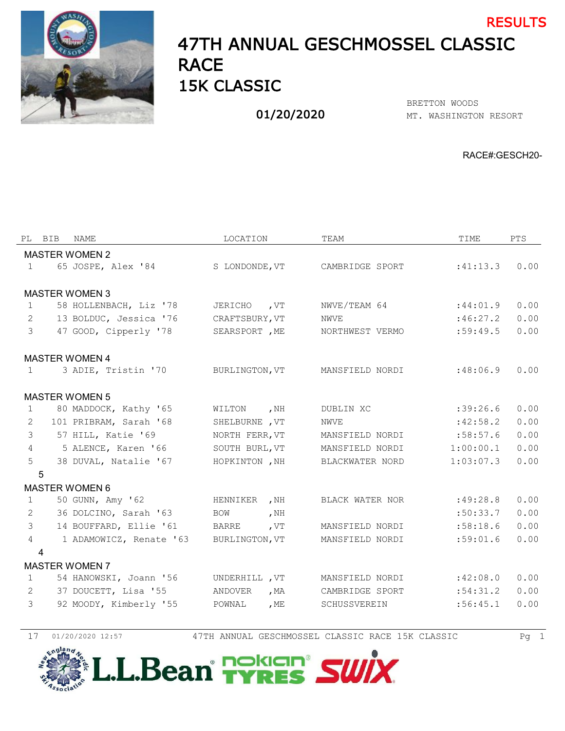

## 47TH ANNUAL GESCHMOSSEL CLASSIC **RACE** 15K CLASSIC RESULTS

01/20/2020

MT. WASHINGTON RESORT BRETTON WOODS

RACE#:GESCH20-

|                | PL BIB<br>NAME          | LOCATION                    | TEAM            | TIME      | <b>PTS</b> |
|----------------|-------------------------|-----------------------------|-----------------|-----------|------------|
|                | <b>MASTER WOMEN 2</b>   |                             |                 |           |            |
| $\mathbf{1}$   | 65 JOSPE, Alex '84      | S LONDONDE, VT              | CAMBRIDGE SPORT | :41:13.3  | 0.00       |
|                |                         |                             |                 |           |            |
|                | <b>MASTER WOMEN 3</b>   |                             |                 |           |            |
| $\mathbf{1}$   | 58 HOLLENBACH, Liz '78  | JERICHO , VT                | NWVE/TEAM 64    | :44:01.9  | 0.00       |
| 2              | 13 BOLDUC, Jessica '76  | CRAFTSBURY, VT              | NWVE            | :46:27.2  | 0.00       |
| 3              | 47 GOOD, Cipperly '78   | SEARSPORT, ME               | NORTHWEST VERMO | :59:49.5  | 0.00       |
|                | <b>MASTER WOMEN 4</b>   |                             |                 |           |            |
| $\mathbf{1}$   | 3 ADIE, Tristin '70     | BURLINGTON, VT              | MANSFIELD NORDI | :48:06.9  | 0.00       |
|                |                         |                             |                 |           |            |
|                | <b>MASTER WOMEN 5</b>   |                             |                 |           |            |
| 1              | 80 MADDOCK, Kathy '65   | , $NH$<br>WILTON            | DUBLIN XC       | :39:26.6  | 0.00       |
| 2              | 101 PRIBRAM, Sarah '68  | SHELBURNE , VT              | NWVE            | :42:58.2  | 0.00       |
| 3              | 57 HILL, Katie '69      | NORTH FERR, VT              | MANSFIELD NORDI | :58:57.6  | 0.00       |
| $\overline{4}$ | 5 ALENCE, Karen '66     | SOUTH BURL, VT              | MANSFIELD NORDI | 1:00:00.1 | 0.00       |
| 5              | 38 DUVAL, Natalie '67   | HOPKINTON, NH               | BLACKWATER NORD | 1:03:07.3 | 0.00       |
|                | 5                       |                             |                 |           |            |
|                | <b>MASTER WOMEN 6</b>   |                             |                 |           |            |
| $\mathbf{1}$   | 50 GUNN, Amy '62        | HENNIKER , NH               | BLACK WATER NOR | :49:28.8  | 0.00       |
| 2              | 36 DOLCINO, Sarah '63   | <b>BOW</b><br>, $NH$        |                 | :50:33.7  | 0.00       |
| $\mathcal{E}$  | 14 BOUFFARD, Ellie '61  | $\sqrt{\text{UT}}$<br>BARRE | MANSFIELD NORDI | :58:18.6  | 0.00       |
| $\overline{4}$ | 1 ADAMOWICZ, Renate '63 | BURLINGTON, VT              | MANSFIELD NORDI | :59:01.6  | 0.00       |
|                | 4                       |                             |                 |           |            |
|                | <b>MASTER WOMEN 7</b>   |                             |                 |           |            |
| $\mathbf{1}$   | 54 HANOWSKI, Joann '56  | UNDERHILL , VT              | MANSFIELD NORDI | :42:08.0  | 0.00       |
| 2              | 37 DOUCETT, Lisa '55    | ANDOVER<br>, MA             | CAMBRIDGE SPORT | :54:31.2  | 0.00       |
| 3              | 92 MOODY, Kimberly '55  | POWNAL<br>, ME              | SCHUSSVEREIN    | :56:45.1  | 0.00       |
|                |                         |                             |                 |           |            |

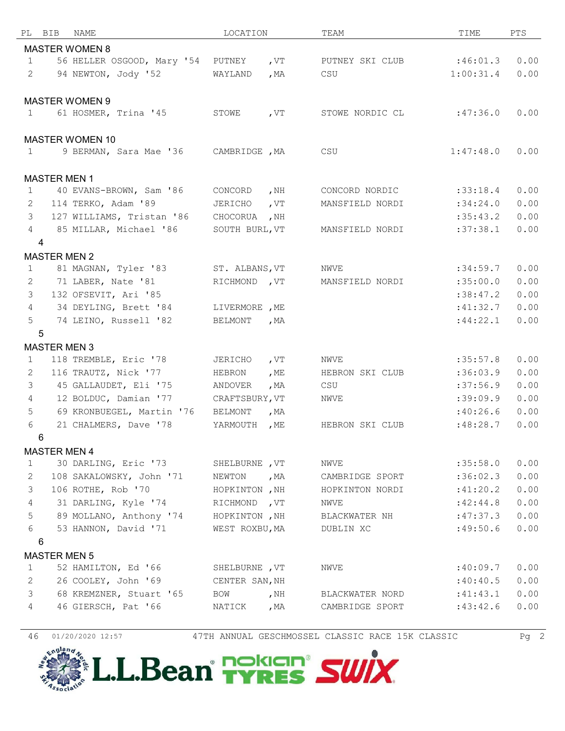|                | PL BIB                | NAME                                 | LOCATION       |        | TEAM            | TIME      | PTS  |
|----------------|-----------------------|--------------------------------------|----------------|--------|-----------------|-----------|------|
|                |                       | <b>MASTER WOMEN 8</b>                |                |        |                 |           |      |
| $\mathbf{1}$   |                       | 56 HELLER OSGOOD, Mary '54 PUTNEY    |                | , VT   | PUTNEY SKI CLUB | :46:01.3  | 0.00 |
| 2              |                       | 94 NEWTON, Jody '52                  | WAYLAND        | , $MA$ | CSU             | 1:00:31.4 | 0.00 |
|                |                       |                                      |                |        |                 |           |      |
|                | <b>MASTER WOMEN 9</b> |                                      |                |        |                 |           |      |
| 1              |                       | 61 HOSMER, Trina '45                 | STOWE          | , $VT$ | STOWE NORDIC CL | :47:36.0  | 0.00 |
|                |                       |                                      |                |        |                 |           |      |
|                |                       | <b>MASTER WOMEN 10</b>               |                |        |                 |           |      |
| $\mathbf{1}$   |                       | 9 BERMAN, Sara Mae '36 CAMBRIDGE, MA |                |        | CSU             | 1:47:48.0 | 0.00 |
|                |                       |                                      |                |        |                 |           |      |
|                | <b>MASTER MEN 1</b>   |                                      |                |        |                 |           |      |
| 1              |                       | 40 EVANS-BROWN, Sam '86              | CONCORD        | , NH   | CONCORD NORDIC  | :33:18.4  | 0.00 |
| 2              |                       | 114 TERKO, Adam '89                  | JERICHO        | , $VT$ | MANSFIELD NORDI | :34:24.0  | 0.00 |
| 3              |                       | 127 WILLIAMS, Tristan '86            | CHOCORUA       | , NH   |                 | :35:43.2  | 0.00 |
| 4              |                       | 85 MILLAR, Michael '86               | SOUTH BURL, VT |        | MANSFIELD NORDI | :37:38.1  | 0.00 |
|                | 4                     |                                      |                |        |                 |           |      |
|                | <b>MASTER MEN 2</b>   |                                      |                |        |                 |           |      |
| 1              |                       | 81 MAGNAN, Tyler '83                 | ST. ALBANS, VT |        | NWVE            | :34:59.7  | 0.00 |
| 2              |                       | 71 LABER, Nate '81                   | RICHMOND , VT  |        | MANSFIELD NORDI | :35:00.0  | 0.00 |
| 3              |                       | 132 OFSEVIT, Ari '85                 |                |        |                 | :38:47.2  | 0.00 |
| $\overline{4}$ |                       | 34 DEYLING, Brett '84                | LIVERMORE , ME |        |                 | :41:32.7  | 0.00 |
| 5              |                       | 74 LEINO, Russell '82                | <b>BELMONT</b> | , $MA$ |                 | :44:22.1  | 0.00 |
|                | 5                     |                                      |                |        |                 |           |      |
|                | <b>MASTER MEN 3</b>   |                                      |                |        |                 |           |      |
| $\mathbf{1}$   |                       | 118 TREMBLE, Eric '78                | JERICHO        | , $VT$ | NWVE            | :35:57.8  | 0.00 |
| 2              |                       | 116 TRAUTZ, Nick '77                 | HEBRON         | , $ME$ | HEBRON SKI CLUB | :36:03.9  | 0.00 |
| 3              |                       | 45 GALLAUDET, Eli '75                | ANDOVER        | , $MA$ | CSU             | :37:56.9  | 0.00 |
| $\overline{4}$ |                       | 12 BOLDUC, Damian '77                | CRAFTSBURY, VT |        | NWVE            | :39:09.9  | 0.00 |
| 5              |                       | 69 KRONBUEGEL, Martin '76            | BELMONT        | , MA   |                 | :40:26.6  | 0.00 |
| 6              |                       | 21 CHALMERS, Dave '78                | YARMOUTH       | , $ME$ | HEBRON SKI CLUB | :48:28.7  | 0.00 |
|                | 6                     |                                      |                |        |                 |           |      |
|                | <b>MASTER MEN 4</b>   |                                      |                |        |                 |           |      |
| $\mathbf 1$    |                       | 30 DARLING, Eric '73                 | SHELBURNE , VT |        | NWVE            | :35:58.0  | 0.00 |
| $\overline{c}$ |                       | 108 SAKALOWSKY, John '71             | NEWTON, MA     |        | CAMBRIDGE SPORT | :36:02.3  | 0.00 |
| 3              |                       | 106 ROTHE, Rob '70                   | HOPKINTON, NH  |        | HOPKINTON NORDI | :41:20.2  | 0.00 |
| $\overline{4}$ |                       | 31 DARLING, Kyle '74                 | RICHMOND , VT  |        | NWVE            | :42:44.8  | 0.00 |
| 5              |                       | 89 MOLLANO, Anthony '74              | HOPKINTON , NH |        | BLACKWATER NH   | :47:37.3  | 0.00 |
| 6              |                       | 53 HANNON, David '71                 | WEST ROXBU, MA |        | DUBLIN XC       | :49:50.6  | 0.00 |
|                | 6                     |                                      |                |        |                 |           |      |
|                | <b>MASTER MEN 5</b>   |                                      |                |        |                 |           |      |
| $\mathbf{1}$   |                       | 52 HAMILTON, Ed '66                  | SHELBURNE , VT |        | NWVE            | :40:09.7  | 0.00 |
| 2              |                       | 26 COOLEY, John '69                  | CENTER SAN, NH |        |                 | :40:40.5  | 0.00 |
| 3              |                       | 68 KREMZNER, Stuart '65              | BOW            | , NH   | BLACKWATER NORD | :41:43.1  | 0.00 |
| 4              |                       | 46 GIERSCH, Pat '66                  | NATICK         | , MA   | CAMBRIDGE SPORT | :43:42.6  | 0.00 |
|                |                       |                                      |                |        |                 |           |      |

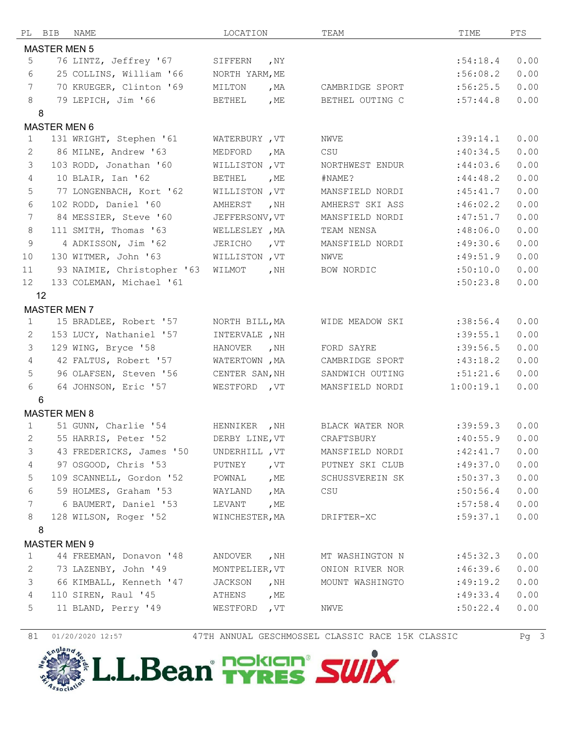|                   | PL BIB              | NAME                       | LOCATION              |        | TEAM            | TIME      | PTS  |
|-------------------|---------------------|----------------------------|-----------------------|--------|-----------------|-----------|------|
|                   | <b>MASTER MEN 5</b> |                            |                       |        |                 |           |      |
| 5                 |                     | 76 LINTZ, Jeffrey '67      | SIFFERN               | , $NY$ |                 | :54:18.4  | 0.00 |
| 6                 |                     | 25 COLLINS, William '66    | NORTH YARM, ME        |        |                 | :56:08.2  | 0.00 |
| $7\phantom{.0}$   |                     | 70 KRUEGER, Clinton '69    | MILTON                | , $MA$ | CAMBRIDGE SPORT | :56:25.5  | 0.00 |
| 8                 |                     | 79 LEPICH, Jim '66         | <b>BETHEL</b>         | , $ME$ | BETHEL OUTING C | :57:44.8  | 0.00 |
|                   | 8                   |                            |                       |        |                 |           |      |
|                   | <b>MASTER MEN 6</b> |                            |                       |        |                 |           |      |
| 1                 |                     | 131 WRIGHT, Stephen '61    | WATERBURY, VT         |        | NWVE            | :39:14.1  | 0.00 |
| 2                 |                     | 86 MILNE, Andrew '63       | MEDFORD               | , $MA$ | CSU             | :40:34.5  | 0.00 |
| $\mathcal{S}$     |                     | 103 RODD, Jonathan '60     | WILLISTON, VT         |        | NORTHWEST ENDUR | :44:03.6  | 0.00 |
| $\overline{4}$    |                     | 10 BLAIR, Ian '62          | <b>BETHEL</b>         | , ME   | #NAME?          | :44:48.2  | 0.00 |
| 5                 |                     | 77 LONGENBACH, Kort '62    | WILLISTON, VT         |        | MANSFIELD NORDI | :45:41.7  | 0.00 |
| 6                 |                     | 102 RODD, Daniel '60       | AMHERST               | , $NH$ | AMHERST SKI ASS | :46:02.2  | 0.00 |
| $7\phantom{.0}$   |                     | 84 MESSIER, Steve '60      | JEFFERSONV, VT        |        | MANSFIELD NORDI | :47:51.7  | 0.00 |
| 8                 |                     | 111 SMITH, Thomas '63      | WELLESLEY , MA        |        | TEAM NENSA      | :48:06.0  | 0.00 |
| 9                 |                     | 4 ADKISSON, Jim '62        | JERICHO               | , $VT$ | MANSFIELD NORDI | :49:30.6  | 0.00 |
| 10                |                     | 130 WITMER, John '63       | <b>WILLISTON</b> , VT |        | <b>NWVE</b>     | :49:51.9  | 0.00 |
| 11                |                     | 93 NAIMIE, Christopher '63 | WILMOT                | , NH   | BOW NORDIC      | :50:10.0  | 0.00 |
| $12 \overline{ }$ |                     | 133 COLEMAN, Michael '61   |                       |        |                 | :50:23.8  | 0.00 |
|                   | 12                  |                            |                       |        |                 |           |      |
|                   | <b>MASTER MEN 7</b> |                            |                       |        |                 |           |      |
| $\mathbf{1}$      |                     | 15 BRADLEE, Robert '57     | NORTH BILL, MA        |        | WIDE MEADOW SKI | :38:56.4  | 0.00 |
| 2                 |                     | 153 LUCY, Nathaniel '57    | INTERVALE , NH        |        |                 | :39:55.1  | 0.00 |
| 3                 |                     | 129 WING, Bryce '58        | HANOVER               | , NH   | FORD SAYRE      | :39:56.5  | 0.00 |
| $\overline{4}$    |                     | 42 FALTUS, Robert '57      | WATERTOWN, MA         |        | CAMBRIDGE SPORT | :43:18.2  | 0.00 |
| 5                 |                     | 96 OLAFSEN, Steven '56     | CENTER SAN, NH        |        | SANDWICH OUTING | :51:21.6  | 0.00 |
| 6                 |                     | 64 JOHNSON, Eric '57       | WESTFORD , VT         |        | MANSFIELD NORDI | 1:00:19.1 | 0.00 |
|                   | 6                   |                            |                       |        |                 |           |      |
|                   | <b>MASTER MEN 8</b> |                            |                       |        |                 |           |      |
| 1                 |                     | 51 GUNN, Charlie '54       | HENNIKER , NH         |        | BLACK WATER NOR | :39:59.3  | 0.00 |
| $\mathbf{2}$      |                     | 55 HARRIS, Peter '52       | DERBY LINE, VT        |        | CRAFTSBURY      | :40:55.9  | 0.00 |
| 3                 |                     | 43 FREDERICKS, James '50   | UNDERHILL , VT        |        | MANSFIELD NORDI | :42:41.7  | 0.00 |
| $\overline{4}$    |                     | 97 OSGOOD, Chris '53       | PUTNEY , VT           |        | PUTNEY SKI CLUB | :49:37.0  | 0.00 |
| 5                 |                     | 109 SCANNELL, Gordon '52   | POWNAL, ME            |        | SCHUSSVEREIN SK | :50:37.3  | 0.00 |
| 6                 |                     | 59 HOLMES, Graham '53      | WAYLAND               | , MA   | CSU             | :50:56.4  | 0.00 |
| 7                 |                     | 6 BAUMERT, Daniel '53      | LEVANT                | , ME   |                 | :57:58.4  | 0.00 |
| 8                 |                     | 128 WILSON, Roger '52      | WINCHESTER, MA        |        | DRIFTER-XC      | :59:37.1  | 0.00 |
|                   | 8                   |                            |                       |        |                 |           |      |
|                   | <b>MASTER MEN 9</b> |                            |                       |        |                 |           |      |
| $\mathbf{1}$      |                     | 44 FREEMAN, Donavon '48    | ANDOVER               | , NH   | MT WASHINGTON N | :45:32.3  | 0.00 |
| 2                 |                     | 73 LAZENBY, John '49       | MONTPELIER, VT        |        | ONION RIVER NOR | :46:39.6  | 0.00 |
| 3                 |                     | 66 KIMBALL, Kenneth '47    | JACKSON               | , NH   | MOUNT WASHINGTO | :49:19.2  | 0.00 |
| $\overline{4}$    |                     | 110 SIREN, Raul '45        | ATHENS                | , ME   |                 | :49:33.4  | 0.00 |
| 5                 |                     | 11 BLAND, Perry '49        | WESTFORD , VT         |        | NWVE            | :50:22.4  | 0.00 |
|                   |                     |                            |                       |        |                 |           |      |

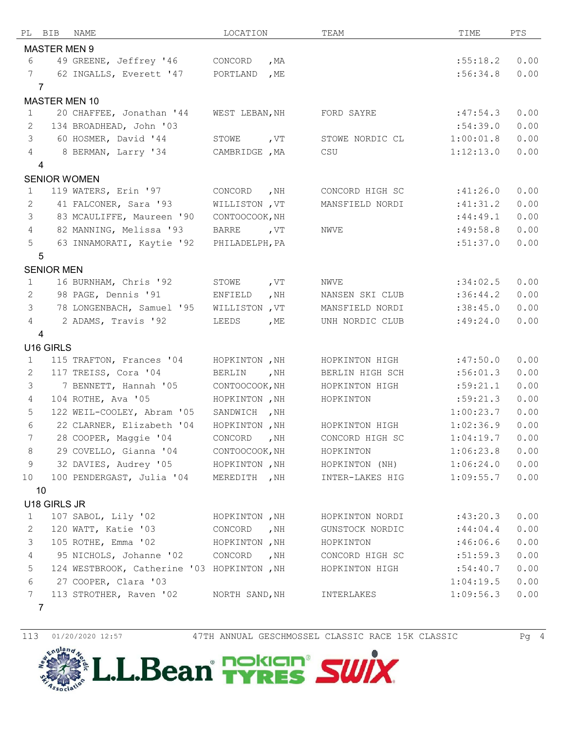